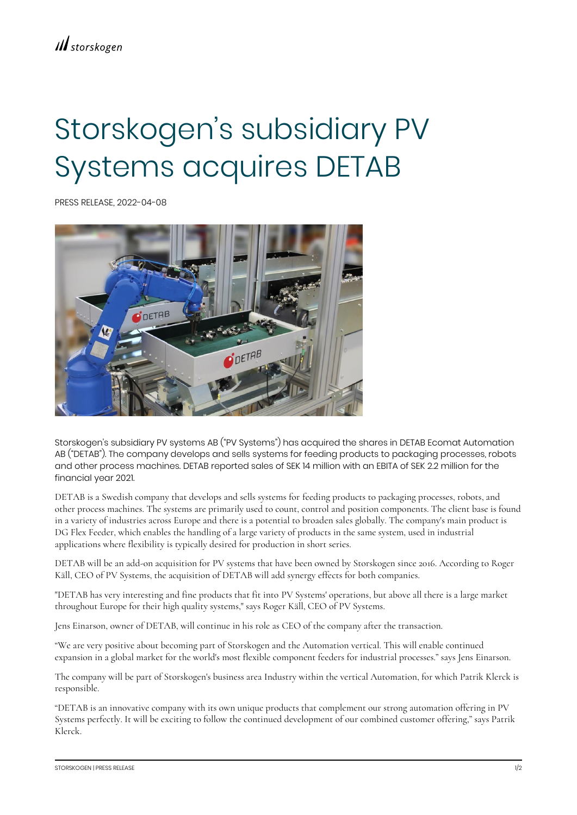## Storskogen's subsidiary PV Systems acquires DETAB

PRESS RELEASE, 2022-04-08



Storskogen's subsidiary PV systems AB ("PV Systems") has acquired the shares in DETAB Ecomat Automation AB ("DETAB"). The company develops and sells systems for feeding products to packaging processes, robots and other process machines. DETAB reported sales of SEK 14 million with an EBITA of SEK 2.2 million for the financial year 2021.

DETAB is a Swedish company that develops and sells systems for feeding products to packaging processes, robots, and other process machines. The systems are primarily used to count, control and position components. The client base is found in a variety of industries across Europe and there is a potential to broaden sales globally. The company's main product is DG Flex Feeder, which enables the handling of a large variety of products in the same system, used in industrial applications where flexibility is typically desired for production in short series.

DETAB will be an add-on acquisition for PV systems that have been owned by Storskogen since 2016. According to Roger Käll, CEO of PV Systems, the acquisition of DETAB will add synergy effects for both companies.

"DETAB has very interesting and fine products that fit into PV Systems' operations, but above all there is a large market throughout Europe for their high quality systems," says Roger Käll, CEO of PV Systems.

Jens Einarson, owner of DETAB, will continue in his role as CEO of the company after the transaction.

"We are very positive about becoming part of Storskogen and the Automation vertical. This will enable continued expansion in a global market for the world's most flexible component feeders for industrial processes." says Jens Einarson.

The company will be part of Storskogen's business area Industry within the vertical Automation, for which Patrik Klerck is responsible.

"DETAB is an innovative company with its own unique products that complement our strong automation offering in PV Systems perfectly. It will be exciting to follow the continued development of our combined customer offering," says Patrik Klerck.